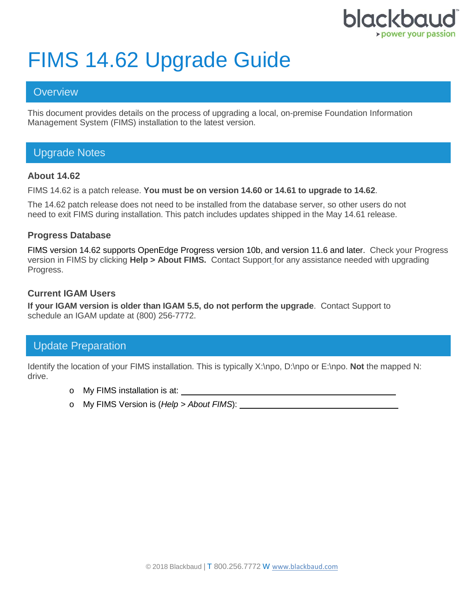

# FIMS 14.62 Upgrade Guide

## **Overview**

This document provides details on the process of upgrading a local, on-premise Foundation Information Management System (FIMS) installation to the latest version.

# Upgrade Notes

### **About 14.62**

FIMS 14.62 is a patch release. **You must be on version 14.60 or 14.61 to upgrade to 14.62**.

The 14.62 patch release does not need to be installed from the database server, so other users do not need to exit FIMS during installation. This patch includes updates shipped in the May 14.61 release.

#### **Progress Database**

FIMS version 14.62 supports OpenEdge Progress version 10b, and version 11.6 and later. Check your Progress version in FIMS by clicking **Help > About FIMS.** Contact Support for any assistance needed with upgrading Progress.

#### **Current IGAM Users**

**If your IGAM version is older than IGAM 5.5, do not perform the upgrade**. Contact Support to schedule an IGAM update at (800) 256-7772.

# Update Preparation

Identify the location of your FIMS installation. This is typically X:\npo, D:\npo or E:\npo. **Not** the mapped N: drive.

- o My FIMS installation is at:
- o My FIMS Version is (*Help > About FIMS*):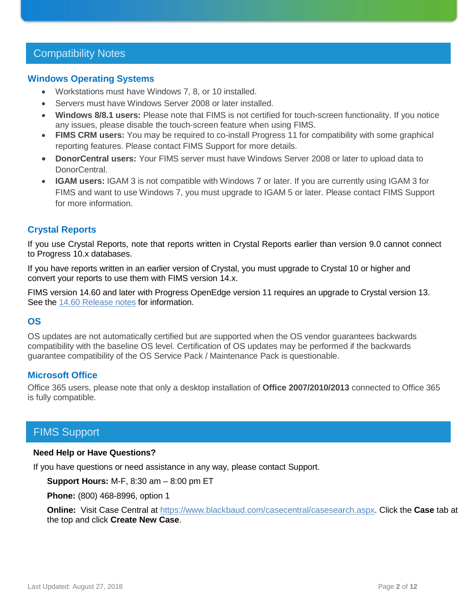# Compatibility Notes

#### **Windows Operating Systems**

- Workstations must have Windows 7, 8, or 10 installed.
- Servers must have Windows Server 2008 or later installed.
- **Windows 8/8.1 users:** Please note that FIMS is not certified for touch-screen functionality. If you notice any issues, please disable the touch-screen feature when using FIMS.
- **FIMS CRM users:** You may be required to co-install Progress 11 for compatibility with some graphical reporting features. Please contact FIMS Support for more details.
- **DonorCentral users:** Your FIMS server must have Windows Server 2008 or later to upload data to DonorCentral.
- **IGAM users:** IGAM 3 is not compatible with Windows 7 or later. If you are currently using IGAM 3 for FIMS and want to use Windows 7, you must upgrade to IGAM 5 or later. Please contact FIMS Support for more information.

## **Crystal Reports**

If you use Crystal Reports, note that reports written in Crystal Reports earlier than version 9.0 cannot connect to Progress 10.x databases.

If you have reports written in an earlier version of Crystal, you must upgrade to Crystal 10 or higher and convert your reports to use them with FIMS version 14.x.

FIMS version 14.60 and later with Progress OpenEdge version 11 requires an upgrade to Crystal version 13. See the 14.60 [Release notes](https://www.blackbaud.com/files/support/guides/microedge/fims/fims1460update_releasenotes.pdf) for information.

## **OS**

OS updates are not automatically certified but are supported when the OS vendor guarantees backwards compatibility with the baseline OS level. Certification of OS updates may be performed if the backwards guarantee compatibility of the OS Service Pack / Maintenance Pack is questionable.

## **Microsoft Office**

Office 365 users, please note that only a desktop installation of **Office 2007/2010/2013** connected to Office 365 is fully compatible.

# FIMS Support

#### **Need Help or Have Questions?**

If you have questions or need assistance in any way, please contact Support.

**Support Hours:** M-F, 8:30 am – 8:00 pm ET

**Phone:** (800) 468-8996, option 1

**Online:** Visit Case Central at [https://www.blackbaud.com/casecentral/casesearch.aspx.](https://www.blackbaud.com/casecentral/casesearch.aspx) Click the **Case** tab at the top and click **Create New Case**.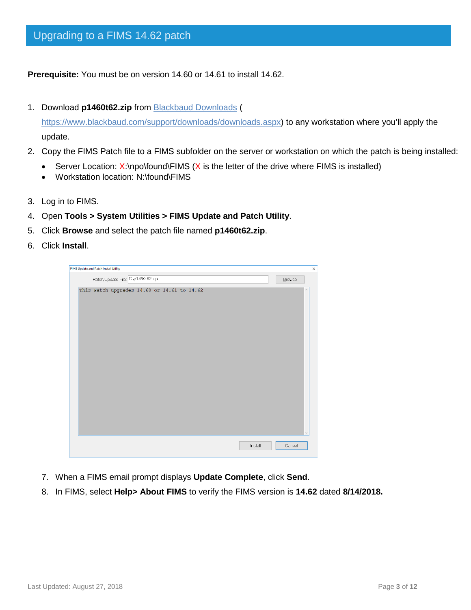**Prerequisite:** You must be on version 14.60 or 14.61 to install 14.62.

1. Download **p1460t62.zip** from [Blackbaud Downloads](https://www.blackbaud.com/support/downloads/downloads.aspx) (

[https://www.blackbaud.com/support/downloads/downloads.aspx\)](https://www.blackbaud.com/support/downloads/downloads.aspx) to any workstation where you'll apply the update.

- 2. Copy the FIMS Patch file to a FIMS subfolder on the server or workstation on which the patch is being installed:
	- Server Location:  $X:\n\rho\to W$  is the letter of the drive where FIMS is installed)
	- Workstation location: N:\found\FIMS
- 3. Log in to FIMS.
- 4. Open **Tools > System Utilities > FIMS Update and Patch Utility**.
- 5. Click **Browse** and select the patch file named **p1460t62.zip**.
- 6. Click **Install**.



- 7. When a FIMS email prompt displays **Update Complete**, click **Send**.
- 8. In FIMS, select **Help> About FIMS** to verify the FIMS version is **14.62** dated **8/14/2018.**